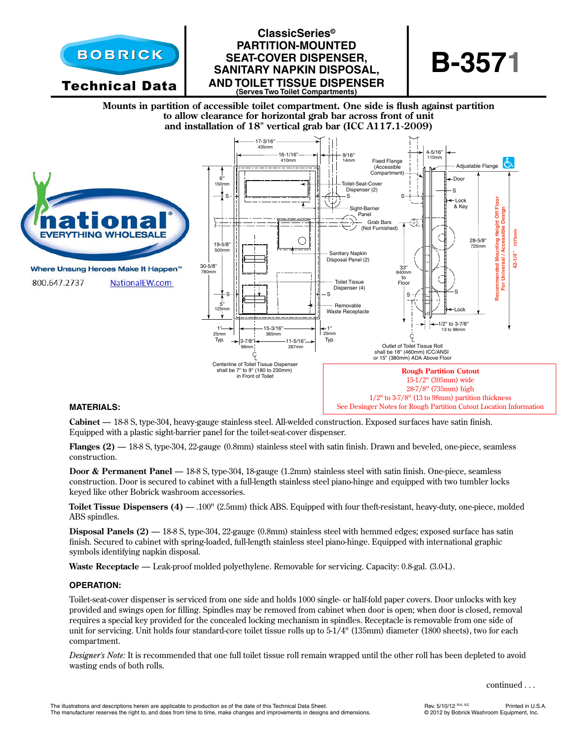

# **ClassicSeries© partition-mounted seat -cover dispenser, sanitar y napkin disposal, and toilet tissue dispenser (Serves Two Toilet Compartments)**



**Mounts in partition of accessible toilet compartment. One side is flush against partition to allow clearance for horizontal grab bar across front of unit and installation of 18" vertical grab bar (ICC A117.1-2009)**



#### **MATERIALS:**

**Cabinet** — 18-8 S, type-304, heavy-gauge stainless steel. All-welded construction. Exposed surfaces have satin finish. Equipped with a plastic sight-barrier panel for the toilet-seat-cover dispenser.

**Flanges (2)** — 18-8 S, type-304, 22-gauge (0.8mm) stainless steel with satin finish. Drawn and beveled, one-piece, seamless construction.

**Door & Permanent Panel** — 18-8 S, type-304, 18-gauge (1.2mm) stainless steel with satin finish. One-piece, seamless construction. Door is secured to cabinet with a full-length stainless steel piano-hinge and equipped with two tumbler locks keyed like other Bobrick washroom accessories.

**Toilet Tissue Dispensers (4)** — .100" (2.5mm) thick ABS. Equipped with four theft-resistant, heavy-duty, one-piece, molded ABS spindles.

**Disposal Panels (2)** — 18-8 S, type-304, 22-gauge (0.8mm) stainless steel with hemmed edges; exposed surface has satin finish. Secured to cabinet with spring-loaded, full-length stainless steel piano-hinge. Equipped with international graphic symbols identifying napkin disposal.

**Waste Receptacle** — Leak-proof molded polyethylene. Removable for servicing. Capacity: 0.8-gal. (3.0-L).

#### **OPERATION:**

Toilet-seat-cover dispenser is serviced from one side and holds 1000 single- or half-fold paper covers. Door unlocks with key provided and swings open for filling. Spindles may be removed from cabinet when door is open; when door is closed, removal requires a special key provided for the concealed locking mechanism in spindles. Receptacle is removable from one side of unit for servicing. Unit holds four standard-core toilet tissue rolls up to 5-1/4" (135mm) diameter (1800 sheets), two for each compartment.

*Designer's Note:* It is recommended that one full toilet tissue roll remain wrapped until the other roll has been depleted to avoid wasting ends of both rolls.

continued . . .